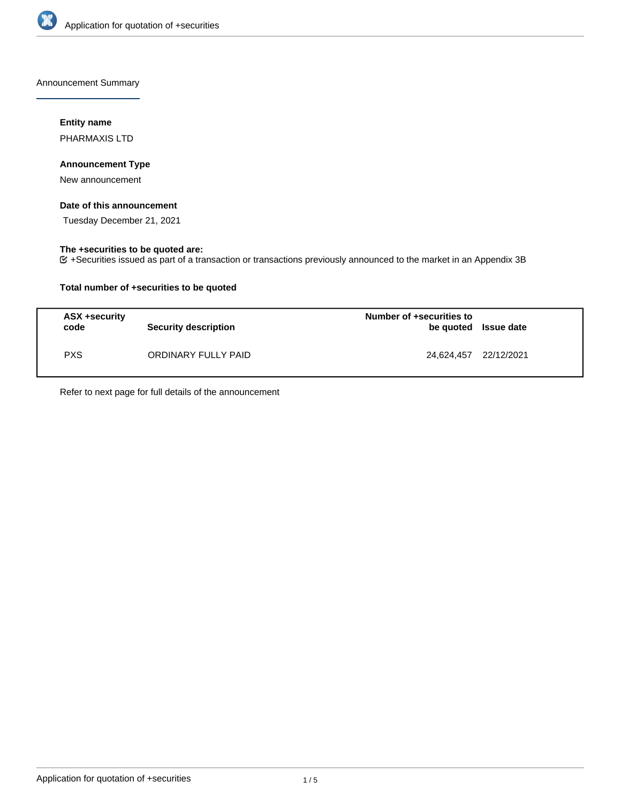

Announcement Summary

### **Entity name**

PHARMAXIS LTD

### **Announcement Type**

New announcement

### **Date of this announcement**

Tuesday December 21, 2021

# **The +securities to be quoted are:**

+Securities issued as part of a transaction or transactions previously announced to the market in an Appendix 3B

### **Total number of +securities to be quoted**

| ASX +security<br>code | <b>Security description</b> | Number of +securities to<br>be quoted Issue date |  |
|-----------------------|-----------------------------|--------------------------------------------------|--|
| <b>PXS</b>            | ORDINARY FULLY PAID         | 24,624,457 22/12/2021                            |  |

Refer to next page for full details of the announcement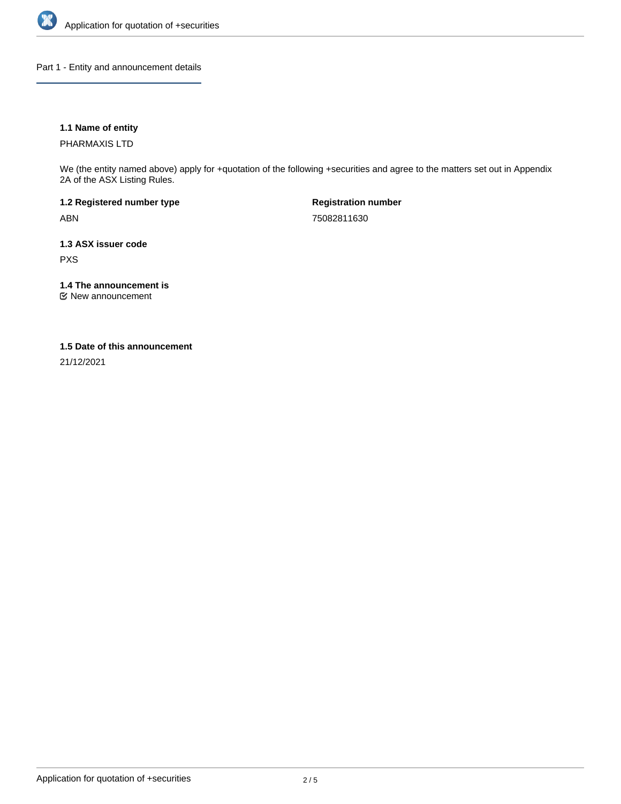

Part 1 - Entity and announcement details

### **1.1 Name of entity**

PHARMAXIS LTD

We (the entity named above) apply for +quotation of the following +securities and agree to the matters set out in Appendix 2A of the ASX Listing Rules.

**1.2 Registered number type** ABN

**Registration number** 75082811630

**1.3 ASX issuer code** PXS

**1.4 The announcement is**

New announcement

#### **1.5 Date of this announcement**

21/12/2021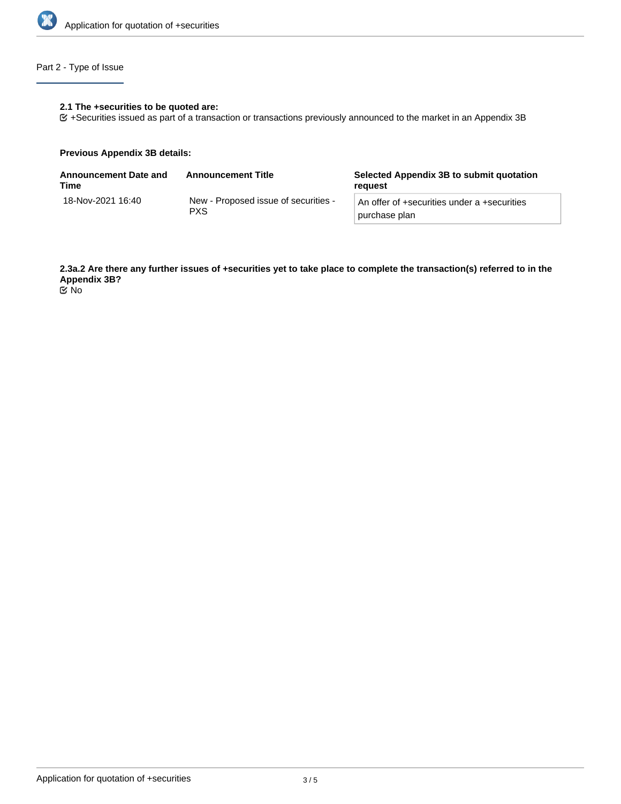

# Part 2 - Type of Issue

#### **2.1 The +securities to be quoted are:**

+Securities issued as part of a transaction or transactions previously announced to the market in an Appendix 3B

#### **Previous Appendix 3B details:**

| <b>Announcement Date and</b><br>Time | <b>Announcement Title</b>                          | Selected Appendix 3B to submit quotation<br>reauest          |
|--------------------------------------|----------------------------------------------------|--------------------------------------------------------------|
| 18-Nov-2021 16:40                    | New - Proposed issue of securities -<br><b>PXS</b> | An offer of +securities under a +securities<br>purchase plan |

**2.3a.2 Are there any further issues of +securities yet to take place to complete the transaction(s) referred to in the Appendix 3B?**

No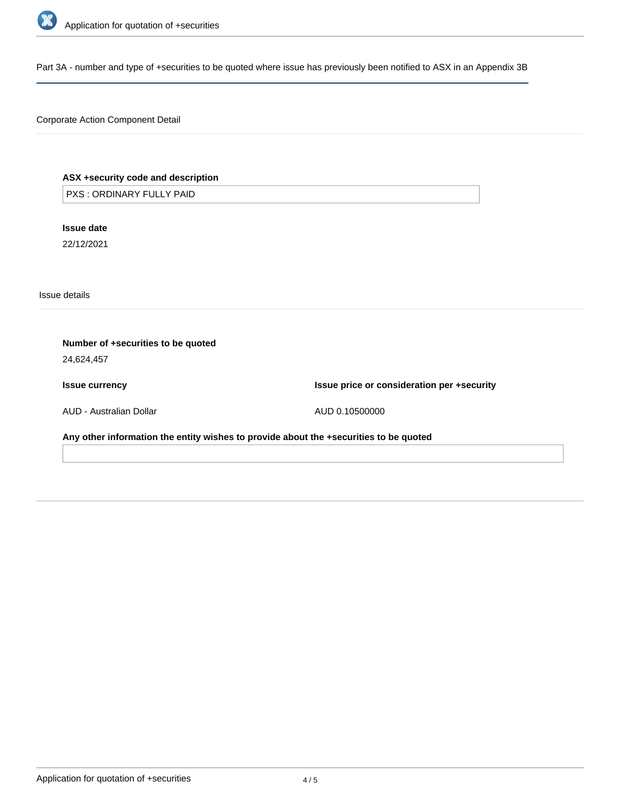

Part 3A - number and type of +securities to be quoted where issue has previously been notified to ASX in an Appendix 3B

### Corporate Action Component Detail

## **ASX +security code and description**

PXS : ORDINARY FULLY PAID

**Issue date** 22/12/2021

Issue details

| Number of +securities to be quoted<br>24,624,457                                      |                                            |  |  |  |
|---------------------------------------------------------------------------------------|--------------------------------------------|--|--|--|
| <b>Issue currency</b>                                                                 | Issue price or consideration per +security |  |  |  |
| AUD - Australian Dollar                                                               | AUD 0.10500000                             |  |  |  |
| Any other information the entity wishes to provide about the +securities to be quoted |                                            |  |  |  |